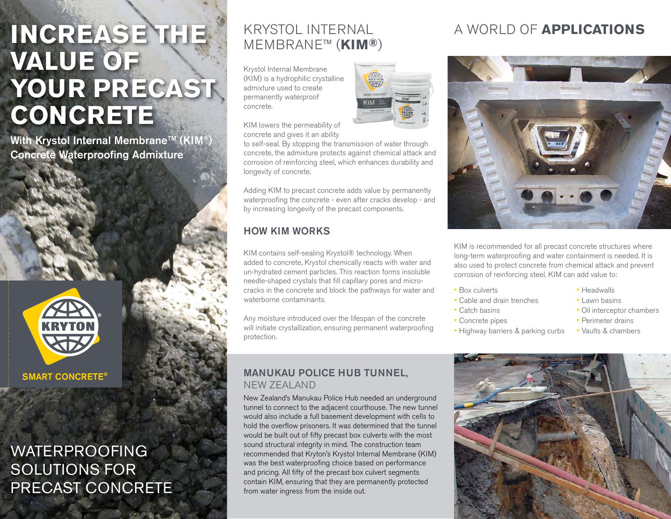## **INCREASE THE VALUE OF** YOUR PRECAST **CONCRETE**

With Krystol Internal Membrane™ (KIM®) Concrete Waterproofing Admixture



## WATERPROOFING SOLUTIONS FOR PRECAST CONCRETE

# MEMBRANE™ (**KIM®**)

Krystol Internal Membrane (KIM) is a hydrophilic crystalline admixture used to create permanently waterproof concrete.



KIM lowers the permeability of concrete and gives it an ability

to self-seal. By stopping the transmission of water through concrete, the admixture protects against chemical attack and corrosion of reinforcing steel, which enhances durability and longevity of concrete.

Adding KIM to precast concrete adds value by permanently waterproofing the concrete - even after cracks develop - and by increasing longevity of the precast components.

#### HOW KIM WORKS

KIM contains self-sealing Krystol® technology. When added to concrete, Krystol chemically reacts with water and un-hydrated cement particles. This reaction forms insoluble needle-shaped crystals that fill capillary pores and microcracks in the concrete and block the pathways for water and waterborne contaminants.

Any moisture introduced over the lifespan of the concrete will initiate crystallization, ensuring permanent waterproofing protection.

#### MANUKAU POLICE HUB TUNNEL, NEW ZEALAND

New Zealand's Manukau Police Hub needed an underground tunnel to connect to the adjacent courthouse. The new tunnel would also include a full basement development with cells to hold the overflow prisoners. It was determined that the tunnel would be built out of fifty precast box culverts with the most sound structural integrity in mind. The construction team recommended that Kryton's Krystol Internal Membrane (KIM) was the best waterproofing choice based on performance and pricing. All fifty of the precast box culvert segments contain KIM, ensuring that they are permanently protected from water ingress from the inside out.

## KRYSTOL INTERNAL A WORLD OF **APPLICATIONS**



KIM is recommended for all precast concrete structures where long-term waterproofing and water containment is needed. It is also used to protect concrete from chemical attack and prevent corrosion of reinforcing steel. KIM can add value to:

- Box culverts
- Cable and drain trenches
- Catch basins
- Concrete pipes
- Highway barriers & parking curbs
- Headwalls
- Lawn basins
- Oil interceptor chambers
- Perimeter drains
- Vaults & chambers